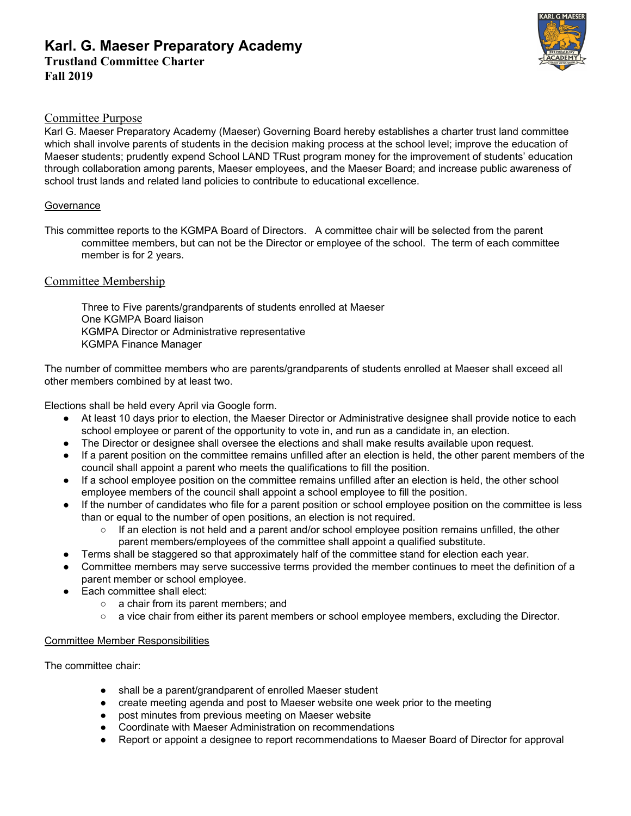# **Karl. G. Maeser Preparatory Academy Trustland Committee Charter Fall 2019**



### Committee Purpose

Karl G. Maeser Preparatory Academy (Maeser) Governing Board hereby establishes a charter trust land committee which shall involve parents of students in the decision making process at the school level; improve the education of Maeser students; prudently expend School LAND TRust program money for the improvement of students' education through collaboration among parents, Maeser employees, and the Maeser Board; and increase public awareness of school trust lands and related land policies to contribute to educational excellence.

#### **Governance**

This committee reports to the KGMPA Board of Directors. A committee chair will be selected from the parent committee members, but can not be the Director or employee of the school. The term of each committee member is for 2 years.

### Committee Membership

Three to Five parents/grandparents of students enrolled at Maeser One KGMPA Board liaison KGMPA Director or Administrative representative KGMPA Finance Manager

The number of committee members who are parents/grandparents of students enrolled at Maeser shall exceed all other members combined by at least two.

Elections shall be held every April via Google form.

- At least 10 days prior to election, the Maeser Director or Administrative designee shall provide notice to each school employee or parent of the opportunity to vote in, and run as a candidate in, an election.
- The Director or designee shall oversee the elections and shall make results available upon request.
- If a parent position on the committee remains unfilled after an election is held, the other parent members of the council shall appoint a parent who meets the qualifications to fill the position.
- If a school employee position on the committee remains unfilled after an election is held, the other school employee members of the council shall appoint a school employee to fill the position.
- If the number of candidates who file for a parent position or school employee position on the committee is less than or equal to the number of open positions, an election is not required.
	- If an election is not held and a parent and/or school employee position remains unfilled, the other parent members/employees of the committee shall appoint a qualified substitute.
- Terms shall be staggered so that approximately half of the committee stand for election each year.
- Committee members may serve successive terms provided the member continues to meet the definition of a parent member or school employee.
- Each committee shall elect:
	- a chair from its parent members; and
	- a vice chair from either its parent members or school employee members, excluding the Director.

### Committee Member Responsibilities

The committee chair:

- shall be a parent/grandparent of enrolled Maeser student
- create meeting agenda and post to Maeser website one week prior to the meeting
- post minutes from previous meeting on Maeser website
- Coordinate with Maeser Administration on recommendations
- Report or appoint a designee to report recommendations to Maeser Board of Director for approval